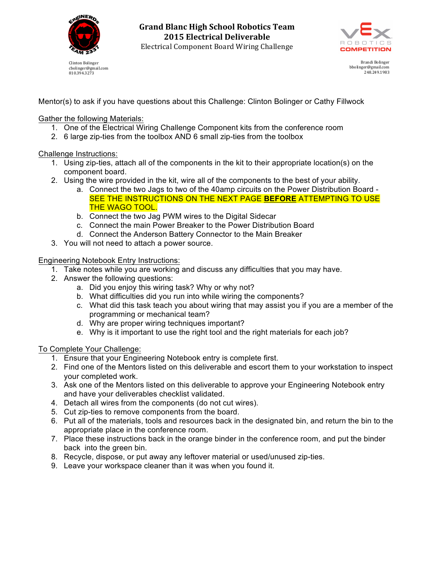

Clinton Bolinger cbolinger@gmail.com 810.394.3273





Brandi Bolinger bbolinger@gmail.com 248.249.1983

Mentor(s) to ask if you have questions about this Challenge: Clinton Bolinger or Cathy Fillwock

Gather the following Materials:

- 1. One of the Electrical Wiring Challenge Component kits from the conference room
- 2. 6 large zip-ties from the toolbox AND 6 small zip-ties from the toolbox

Challenge Instructions:

- 1. Using zip-ties, attach all of the components in the kit to their appropriate location(s) on the component board.
- 2. Using the wire provided in the kit, wire all of the components to the best of your ability.
	- a. Connect the two Jags to two of the 40amp circuits on the Power Distribution Board SEE THE INSTRUCTIONS ON THE NEXT PAGE **BEFORE** ATTEMPTING TO USE THE WAGO TOOL.
	- b. Connect the two Jag PWM wires to the Digital Sidecar
	- c. Connect the main Power Breaker to the Power Distribution Board
	- d. Connect the Anderson Battery Connector to the Main Breaker
- 3. You will not need to attach a power source.

Engineering Notebook Entry Instructions:

- 1. Take notes while you are working and discuss any difficulties that you may have.
- 2. Answer the following questions:
	- a. Did you enjoy this wiring task? Why or why not?
	- b. What difficulties did you run into while wiring the components?
	- c. What did this task teach you about wiring that may assist you if you are a member of the programming or mechanical team?
	- d. Why are proper wiring techniques important?
	- e. Why is it important to use the right tool and the right materials for each job?

To Complete Your Challenge:

- 1. Ensure that your Engineering Notebook entry is complete first.
- 2. Find one of the Mentors listed on this deliverable and escort them to your workstation to inspect your completed work.
- 3. Ask one of the Mentors listed on this deliverable to approve your Engineering Notebook entry and have your deliverables checklist validated.
- 4. Detach all wires from the components (do not cut wires).
- 5. Cut zip-ties to remove components from the board.
- 6. Put all of the materials, tools and resources back in the designated bin, and return the bin to the appropriate place in the conference room.
- 7. Place these instructions back in the orange binder in the conference room, and put the binder back into the green bin.
- 8. Recycle, dispose, or put away any leftover material or used/unused zip-ties.
- 9. Leave your workspace cleaner than it was when you found it.